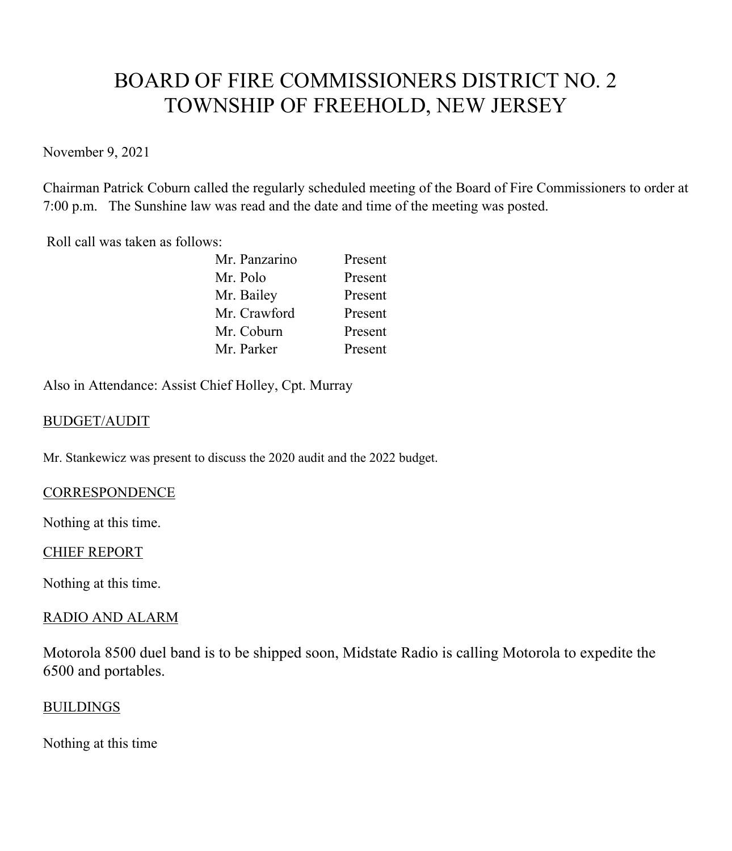# BOARD OF FIRE COMMISSIONERS DISTRICT NO. 2 TOWNSHIP OF FREEHOLD, NEW JERSEY

November 9, 2021

Chairman Patrick Coburn called the regularly scheduled meeting of the Board of Fire Commissioners to order at 7:00 p.m. The Sunshine law was read and the date and time of the meeting was posted.

Roll call was taken as follows:

| Mr. Panzarino | Present |
|---------------|---------|
| Mr. Polo      | Present |
| Mr. Bailey    | Present |
| Mr. Crawford  | Present |
| Mr. Coburn    | Present |
| Mr. Parker    | Present |
|               |         |

Also in Attendance: Assist Chief Holley, Cpt. Murray

## BUDGET/AUDIT

Mr. Stankewicz was present to discuss the 2020 audit and the 2022 budget.

#### **CORRESPONDENCE**

Nothing at this time.

#### CHIEF REPORT

Nothing at this time.

#### RADIO AND ALARM

Motorola 8500 duel band is to be shipped soon, Midstate Radio is calling Motorola to expedite the 6500 and portables.

#### BUILDINGS

Nothing at this time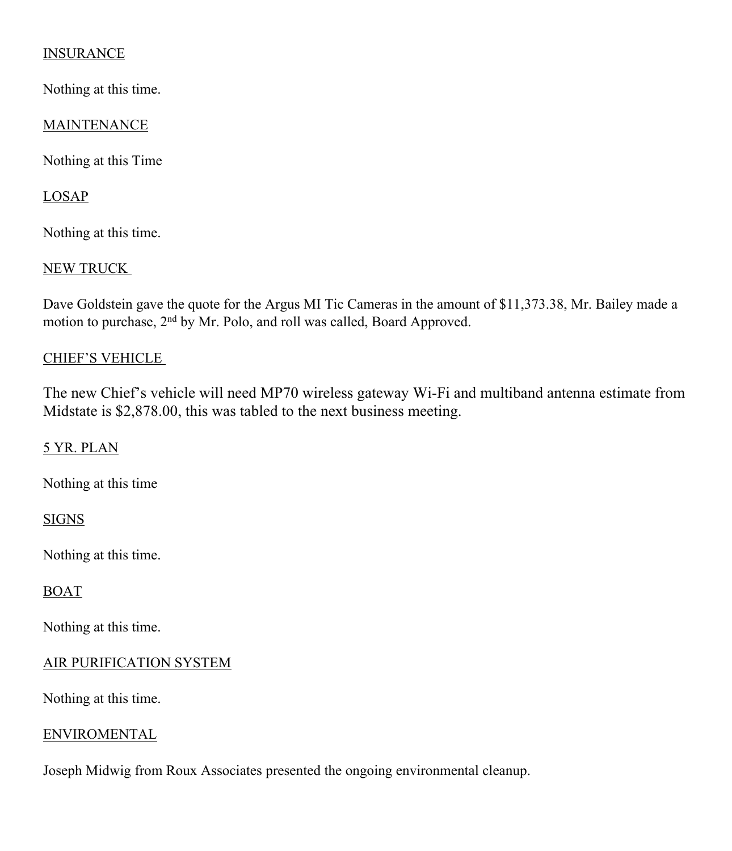# **INSURANCE**

Nothing at this time.

## MAINTENANCE

Nothing at this Time

## LOSAP

Nothing at this time.

## NEW TRUCK

Dave Goldstein gave the quote for the Argus MI Tic Cameras in the amount of \$11,373.38, Mr. Bailey made a motion to purchase, 2nd by Mr. Polo, and roll was called, Board Approved.

## CHIEF'S VEHICLE

The new Chief's vehicle will need MP70 wireless gateway Wi-Fi and multiband antenna estimate from Midstate is \$2,878.00, this was tabled to the next business meeting.

#### 5 YR. PLAN

Nothing at this time

## **SIGNS**

Nothing at this time.

#### BOAT

Nothing at this time.

# AIR PURIFICATION SYSTEM

Nothing at this time.

#### **ENVIROMENTAL**

Joseph Midwig from Roux Associates presented the ongoing environmental cleanup.